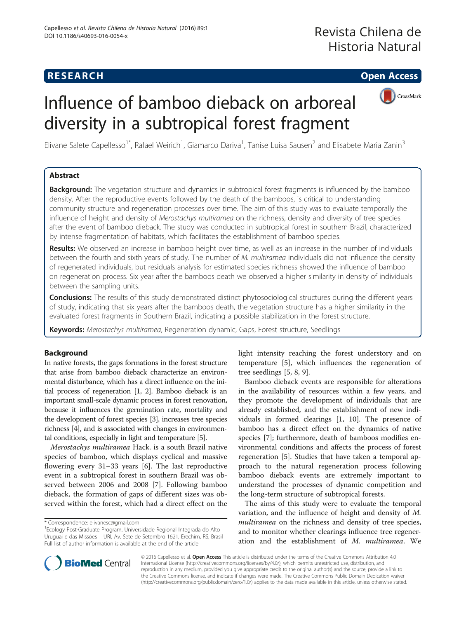# Influence of bamboo dieback on arboreal diversity in a subtropical forest fragment

CrossMark

Elivane Salete Capellesso<sup>1\*</sup>, Rafael Weirich<sup>1</sup>, Giamarco Dariva<sup>1</sup>, Tanise Luisa Sausen<sup>2</sup> and Elisabete Maria Zanin<sup>3</sup>

# Abstract

**Background:** The vegetation structure and dynamics in subtropical forest fragments is influenced by the bamboo density. After the reproductive events followed by the death of the bamboos, is critical to understanding community structure and regeneration processes over time. The aim of this study was to evaluate temporally the influence of height and density of Merostachys multiramea on the richness, density and diversity of tree species after the event of bamboo dieback. The study was conducted in subtropical forest in southern Brazil, characterized by intense fragmentation of habitats, which facilitates the establishment of bamboo species.

Results: We observed an increase in bamboo height over time, as well as an increase in the number of individuals between the fourth and sixth years of study. The number of M. multiramea individuals did not influence the density of regenerated individuals, but residuals analysis for estimated species richness showed the influence of bamboo on regeneration process. Six year after the bamboos death we observed a higher similarity in density of individuals between the sampling units.

Conclusions: The results of this study demonstrated distinct phytosociological structures during the different years of study, indicating that six years after the bamboos death, the vegetation structure has a higher similarity in the evaluated forest fragments in Southern Brazil, indicating a possible stabilization in the forest structure.

Keywords: Merostachys multiramea, Regeneration dynamic, Gaps, Forest structure, Seedlings

# Background

In native forests, the gaps formations in the forest structure that arise from bamboo dieback characterize an environmental disturbance, which has a direct influence on the initial process of regeneration [[1](#page-5-0), [2](#page-5-0)]. Bamboo dieback is an important small-scale dynamic process in forest renovation, because it influences the germination rate, mortality and the development of forest species [\[3](#page-5-0)], increases tree species richness [\[4](#page-5-0)], and is associated with changes in environmental conditions, especially in light and temperature [\[5\]](#page-5-0).

Merostachys multiramea Hack. is a south Brazil native species of bamboo, which displays cyclical and massive flowering every 31–33 years [\[6](#page-5-0)]. The last reproductive event in a subtropical forest in southern Brazil was observed between 2006 and 2008 [[7\]](#page-5-0). Following bamboo dieback, the formation of gaps of different sizes was observed within the forest, which had a direct effect on the

light intensity reaching the forest understory and on temperature [\[5](#page-5-0)], which influences the regeneration of tree seedlings [\[5](#page-5-0), [8](#page-5-0), [9](#page-5-0)].

Bamboo dieback events are responsible for alterations in the availability of resources within a few years, and they promote the development of individuals that are already established, and the establishment of new individuals in formed clearings [\[1, 10\]](#page-5-0). The presence of bamboo has a direct effect on the dynamics of native species [[7\]](#page-5-0); furthermore, death of bamboos modifies environmental conditions and affects the process of forest regeneration [[5\]](#page-5-0). Studies that have taken a temporal approach to the natural regeneration process following bamboo dieback events are extremely important to understand the processes of dynamic competition and the long-term structure of subtropical forests.

The aims of this study were to evaluate the temporal variation, and the influence of height and density of M. multiramea on the richness and density of tree species, and to monitor whether clearings influence tree regeneration and the establishment of M. multiramea. We



© 2016 Capellesso et al. Open Access This article is distributed under the terms of the Creative Commons Attribution 4.0 International License [\(http://creativecommons.org/licenses/by/4.0/](http://creativecommons.org/licenses/by/4.0/)), which permits unrestricted use, distribution, and reproduction in any medium, provided you give appropriate credit to the original author(s) and the source, provide a link to the Creative Commons license, and indicate if changes were made. The Creative Commons Public Domain Dedication waiver [\(http://creativecommons.org/publicdomain/zero/1.0/](http://creativecommons.org/publicdomain/zero/1.0/)) applies to the data made available in this article, unless otherwise stated.

<sup>\*</sup> Correspondence: [elivanesc@gmail.com](mailto:elivanesc@gmail.com) <sup>1</sup>

<sup>&</sup>lt;sup>1</sup> Ecology Post-Graduate Program, Universidade Regional Integrada do Alto Uruguai e das Missões – URI, Av. Sete de Setembro 1621, Erechim, RS, Brasil Full list of author information is available at the end of the article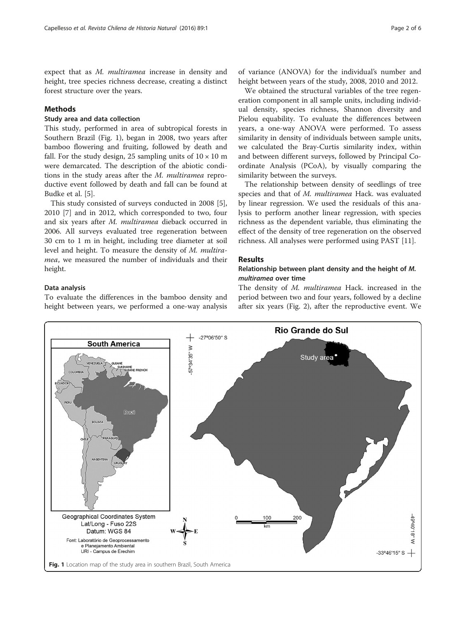expect that as M. multiramea increase in density and height, tree species richness decrease, creating a distinct forest structure over the years.

## Methods

## Study area and data collection

This study, performed in area of subtropical forests in Southern Brazil (Fig. 1), began in 2008, two years after bamboo flowering and fruiting, followed by death and fall. For the study design, 25 sampling units of  $10 \times 10$  m were demarcated. The description of the abiotic conditions in the study areas after the M. multiramea reproductive event followed by death and fall can be found at Budke et al. [[5\]](#page-5-0).

This study consisted of surveys conducted in 2008 [\[5](#page-5-0)], 2010 [\[7](#page-5-0)] and in 2012, which corresponded to two, four and six years after M. multiramea dieback occurred in 2006. All surveys evaluated tree regeneration between 30 cm to 1 m in height, including tree diameter at soil level and height. To measure the density of M. multiramea, we measured the number of individuals and their height.

#### Data analysis

To evaluate the differences in the bamboo density and height between years, we performed a one-way analysis

of variance (ANOVA) for the individual's number and height between years of the study, 2008, 2010 and 2012.

We obtained the structural variables of the tree regeneration component in all sample units, including individual density, species richness, Shannon diversity and Pielou equability. To evaluate the differences between years, a one-way ANOVA were performed. To assess similarity in density of individuals between sample units, we calculated the Bray-Curtis similarity index, within and between different surveys, followed by Principal Coordinate Analysis (PCoA), by visually comparing the similarity between the surveys.

The relationship between density of seedlings of tree species and that of M. multiramea Hack. was evaluated by linear regression. We used the residuals of this analysis to perform another linear regression, with species richness as the dependent variable, thus eliminating the effect of the density of tree regeneration on the observed richness. All analyses were performed using PAST [[11](#page-5-0)].

## Results

## Relationship between plant density and the height of M. multiramea over time

The density of M. multiramea Hack. increased in the period between two and four years, followed by a decline after six years (Fig. [2\)](#page-2-0), after the reproductive event. We

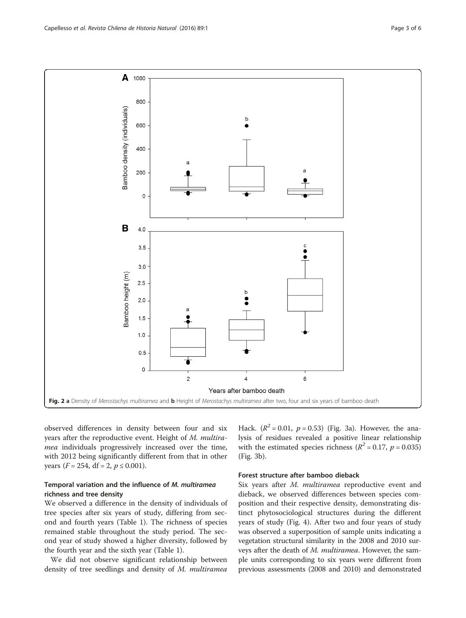<span id="page-2-0"></span>

observed differences in density between four and six years after the reproductive event. Height of M. multiramea individuals progressively increased over the time, with 2012 being significantly different from that in other years ( $F = 254$ , df = 2,  $p \le 0.001$ ).

# Temporal variation and the influence of M. multiramea richness and tree density

We observed a difference in the density of individuals of tree species after six years of study, differing from second and fourth years (Table [1](#page-3-0)). The richness of species remained stable throughout the study period. The second year of study showed a higher diversity, followed by the fourth year and the sixth year (Table [1](#page-3-0)).

We did not observe significant relationship between density of tree seedlings and density of M. multiramea Hack.  $(R^2 = 0.01, p = 0.53)$  (Fig. [3a](#page-3-0)). However, the analysis of residues revealed a positive linear relationship with the estimated species richness ( $R^2 = 0.17$ ,  $p = 0.035$ ) (Fig. [3](#page-3-0)b).

## Forest structure after bamboo dieback

Six years after M. multiramea reproductive event and dieback, we observed differences between species composition and their respective density, demonstrating distinct phytosociological structures during the different years of study (Fig. [4\)](#page-4-0). After two and four years of study was observed a superposition of sample units indicating a vegetation structural similarity in the 2008 and 2010 surveys after the death of M. multiramea. However, the sample units corresponding to six years were different from previous assessments (2008 and 2010) and demonstrated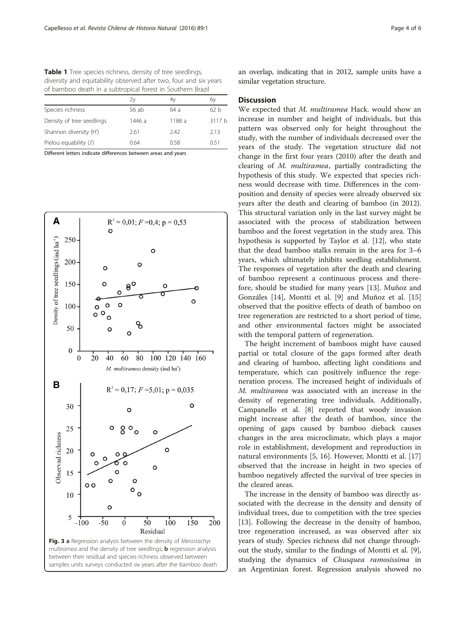<span id="page-3-0"></span>Table 1 Tree species richness, density of tree seedlings, diversity and equitability observed after two, four and six years of bamboo death in a subtropical forest in Southern Brazil

|                           | 2v     | 4v     | 6у              |
|---------------------------|--------|--------|-----------------|
| Species richness          | 56 ab  | 64 a   | 62 <sub>b</sub> |
| Density of tree seedlings | 1446 a | 1188 a | 3117 b          |
| Shannon diversity (H')    | 2.61   | 2.42   | 2.13            |
| Pielou equability (J')    | 0.64   | 0.58   | 0.51            |

Different letters indicate differences between areas and years



an overlap, indicating that in 2012, sample units have a similar vegetation structure.

## **Discussion**

We expected that M. multiramea Hack. would show an increase in number and height of individuals, but this pattern was observed only for height throughout the study, with the number of individuals decreased over the years of the study. The vegetation structure did not change in the first four years (2010) after the death and clearing of M. multiramea, partially contradicting the hypothesis of this study. We expected that species richness would decrease with time. Differences in the composition and density of species were already observed six years after the death and clearing of bamboo (in 2012). This structural variation only in the last survey might be associated with the process of stabilization between bamboo and the forest vegetation in the study area. This hypothesis is supported by Taylor et al. [\[12\]](#page-5-0), who state that the dead bamboo stalks remain in the area for 3–6 years, which ultimately inhibits seedling establishment. The responses of vegetation after the death and clearing of bamboo represent a continuous process and therefore, should be studied for many years [\[13\]](#page-5-0). Muñoz and Gonzáles [[14](#page-5-0)], Montti et al. [\[9\]](#page-5-0) and Muñoz et al. [[15](#page-5-0)] observed that the positive effects of death of bamboo on tree regeneration are restricted to a short period of time, and other environmental factors might be associated with the temporal pattern of regeneration.

The height increment of bamboos might have caused partial or total closure of the gaps formed after death and clearing of bamboo, affecting light conditions and temperature, which can positively influence the regeneration process. The increased height of individuals of M. multiramea was associated with an increase in the density of regenerating tree individuals. Additionally, Campanello et al. [[8\]](#page-5-0) reported that woody invasion might increase after the death of bamboo, since the opening of gaps caused by bamboo dieback causes changes in the area microclimate, which plays a major role in establishment, development and reproduction in natural environments [[5, 16\]](#page-5-0). However, Montti et al. [[17](#page-5-0)] observed that the increase in height in two species of bamboo negatively affected the survival of tree species in the cleared areas.

The increase in the density of bamboo was directly associated with the decrease in the density and density of individual trees, due to competition with the tree species [[13\]](#page-5-0). Following the decrease in the density of bamboo, tree regeneration increased, as was observed after six years of study. Species richness did not change throughout the study, similar to the findings of Montti et al. [\[9](#page-5-0)], studying the dynamics of Chusquea ramosissima in an Argentinian forest. Regression analysis showed no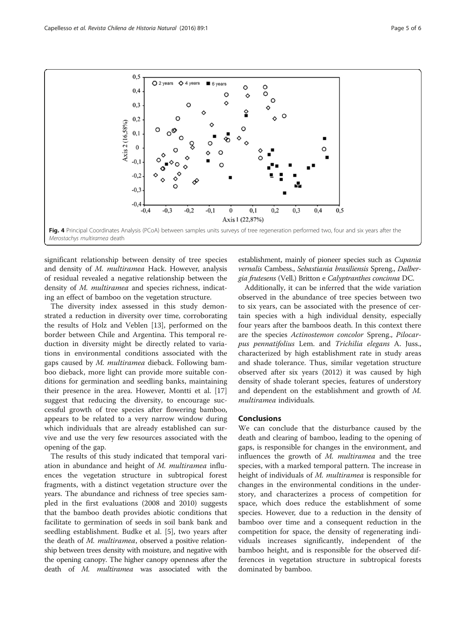<span id="page-4-0"></span>

significant relationship between density of tree species and density of M. multiramea Hack. However, analysis of residual revealed a negative relationship between the density of M. multiramea and species richness, indicating an effect of bamboo on the vegetation structure.

The diversity index assessed in this study demonstrated a reduction in diversity over time, corroborating the results of Holz and Veblen [\[13](#page-5-0)], performed on the border between Chile and Argentina. This temporal reduction in diversity might be directly related to variations in environmental conditions associated with the gaps caused by M. multiramea dieback. Following bamboo dieback, more light can provide more suitable conditions for germination and seedling banks, maintaining their presence in the area. However, Montti et al. [[17](#page-5-0)] suggest that reducing the diversity, to encourage successful growth of tree species after flowering bamboo, appears to be related to a very narrow window during which individuals that are already established can survive and use the very few resources associated with the opening of the gap.

The results of this study indicated that temporal variation in abundance and height of M. multiramea influences the vegetation structure in subtropical forest fragments, with a distinct vegetation structure over the years. The abundance and richness of tree species sampled in the first evaluations (2008 and 2010) suggests that the bamboo death provides abiotic conditions that facilitate to germination of seeds in soil bank bank and seedling establishment. Budke et al. [[5\]](#page-5-0), two years after the death of M. multiramea, observed a positive relationship between trees density with moisture, and negative with the opening canopy. The higher canopy openness after the death of M. multiramea was associated with the

establishment, mainly of pioneer species such as Cupania vernalis Cambess., Sebastiania brasiliensis Spreng., Dalbergia frutesens (Vell.) Britton e Calyptranthes concinna DC.

Additionally, it can be inferred that the wide variation observed in the abundance of tree species between two to six years, can be associated with the presence of certain species with a high individual density, especially four years after the bamboos death. In this context there are the species Actinostemon concolor Spreng., Pilocarpus pennatifolius Lem. and Trichilia elegans A. Juss., characterized by high establishment rate in study areas and shade tolerance. Thus, similar vegetation structure observed after six years (2012) it was caused by high density of shade tolerant species, features of understory and dependent on the establishment and growth of M. multiramea individuals.

## Conclusions

We can conclude that the disturbance caused by the death and clearing of bamboo, leading to the opening of gaps, is responsible for changes in the environment, and influences the growth of M. multiramea and the tree species, with a marked temporal pattern. The increase in height of individuals of M. *multiramea* is responsible for changes in the environmental conditions in the understory, and characterizes a process of competition for space, which does reduce the establishment of some species. However, due to a reduction in the density of bamboo over time and a consequent reduction in the competition for space, the density of regenerating individuals increases significantly, independent of the bamboo height, and is responsible for the observed differences in vegetation structure in subtropical forests dominated by bamboo.